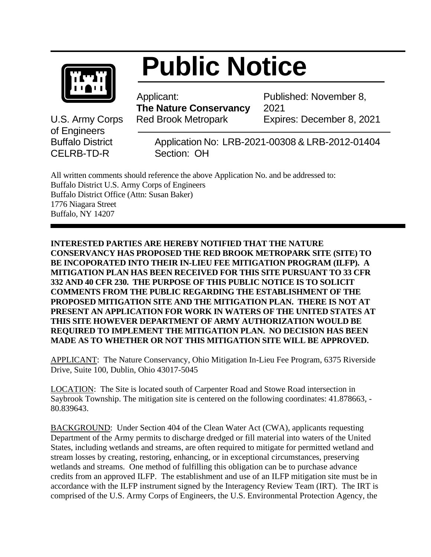

## **Public Notice**

 Applicant:  **The Nature Conservancy** U.S. Army Corps Red Brook Metropark

Published: November 8, 2021 Expires: December 8, 2021

of Engineers CELRB-TD-RSection: OH

Buffalo District Application No: LRB-2021-00308 & LRB-2012-01404

All written comments should reference the above Application No. and be addressed to: Buffalo District U.S. Army Corps of Engineers Buffalo District Office (Attn: Susan Baker) 1776 Niagara Street Buffalo, NY 14207

**INTERESTED PARTIES ARE HEREBY NOTIFIED THAT THE NATURE CONSERVANCY HAS PROPOSED THE RED BROOK METROPARK SITE (SITE) TO BE INCOPORATED INTO THEIR IN-LIEU FEE MITIGATION PROGRAM (ILFP). A MITIGATION PLAN HAS BEEN RECEIVED FOR THIS SITE PURSUANT TO 33 CFR 332 AND 40 CFR 230. THE PURPOSE OF THIS PUBLIC NOTICE IS TO SOLICIT COMMENTS FROM THE PUBLIC REGARDING THE ESTABLISHMENT OF THE PROPOSED MITIGATION SITE AND THE MITIGATION PLAN. THERE IS NOT AT PRESENT AN APPLICATION FOR WORK IN WATERS OF THE UNITED STATES AT THIS SITE HOWEVER DEPARTMENT OF ARMY AUTHORIZATION WOULD BE REQUIRED TO IMPLEMENT THE MITIGATION PLAN. NO DECISION HAS BEEN MADE AS TO WHETHER OR NOT THIS MITIGATION SITE WILL BE APPROVED.**

APPLICANT: The Nature Conservancy, Ohio Mitigation In-Lieu Fee Program, 6375 Riverside Drive, Suite 100, Dublin, Ohio 43017-5045

LOCATION: The Site is located south of Carpenter Road and Stowe Road intersection in Saybrook Township. The mitigation site is centered on the following coordinates: 41.878663, - 80.839643.

BACKGROUND: Under Section 404 of the Clean Water Act (CWA), applicants requesting Department of the Army permits to discharge dredged or fill material into waters of the United States, including wetlands and streams, are often required to mitigate for permitted wetland and stream losses by creating, restoring, enhancing, or in exceptional circumstances, preserving wetlands and streams. One method of fulfilling this obligation can be to purchase advance credits from an approved ILFP. The establishment and use of an ILFP mitigation site must be in accordance with the ILFP instrument signed by the Interagency Review Team (IRT). The IRT is comprised of the U.S. Army Corps of Engineers, the U.S. Environmental Protection Agency, the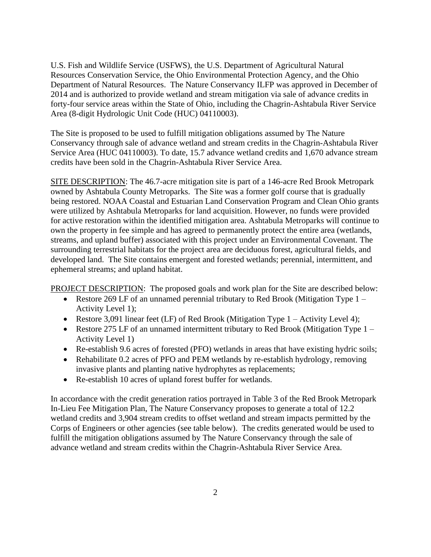U.S. Fish and Wildlife Service (USFWS), the U.S. Department of Agricultural Natural Resources Conservation Service, the Ohio Environmental Protection Agency, and the Ohio Department of Natural Resources. The Nature Conservancy ILFP was approved in December of 2014 and is authorized to provide wetland and stream mitigation via sale of advance credits in forty-four service areas within the State of Ohio, including the Chagrin-Ashtabula River Service Area (8-digit Hydrologic Unit Code (HUC) 04110003).

The Site is proposed to be used to fulfill mitigation obligations assumed by The Nature Conservancy through sale of advance wetland and stream credits in the Chagrin-Ashtabula River Service Area (HUC 04110003). To date, 15.7 advance wetland credits and 1,670 advance stream credits have been sold in the Chagrin-Ashtabula River Service Area.

SITE DESCRIPTION: The 46.7-acre mitigation site is part of a 146-acre Red Brook Metropark owned by Ashtabula County Metroparks. The Site was a former golf course that is gradually being restored. NOAA Coastal and Estuarian Land Conservation Program and Clean Ohio grants were utilized by Ashtabula Metroparks for land acquisition. However, no funds were provided for active restoration within the identified mitigation area. Ashtabula Metroparks will continue to own the property in fee simple and has agreed to permanently protect the entire area (wetlands, streams, and upland buffer) associated with this project under an Environmental Covenant. The surrounding terrestrial habitats for the project area are deciduous forest, agricultural fields, and developed land. The Site contains emergent and forested wetlands; perennial, intermittent, and ephemeral streams; and upland habitat.

PROJECT DESCRIPTION: The proposed goals and work plan for the Site are described below:

- Restore 269 LF of an unnamed perennial tributary to Red Brook (Mitigation Type 1 Activity Level 1);
- Restore 3,091 linear feet (LF) of Red Brook (Mitigation Type 1 Activity Level 4);
- Restore 275 LF of an unnamed intermittent tributary to Red Brook (Mitigation Type 1 Activity Level 1)
- Re-establish 9.6 acres of forested (PFO) wetlands in areas that have existing hydric soils;
- Rehabilitate 0.2 acres of PFO and PEM wetlands by re-establish hydrology, removing invasive plants and planting native hydrophytes as replacements;
- Re-establish 10 acres of upland forest buffer for wetlands.

In accordance with the credit generation ratios portrayed in Table 3 of the Red Brook Metropark In-Lieu Fee Mitigation Plan, The Nature Conservancy proposes to generate a total of 12.2 wetland credits and 3,904 stream credits to offset wetland and stream impacts permitted by the Corps of Engineers or other agencies (see table below). The credits generated would be used to fulfill the mitigation obligations assumed by The Nature Conservancy through the sale of advance wetland and stream credits within the Chagrin-Ashtabula River Service Area.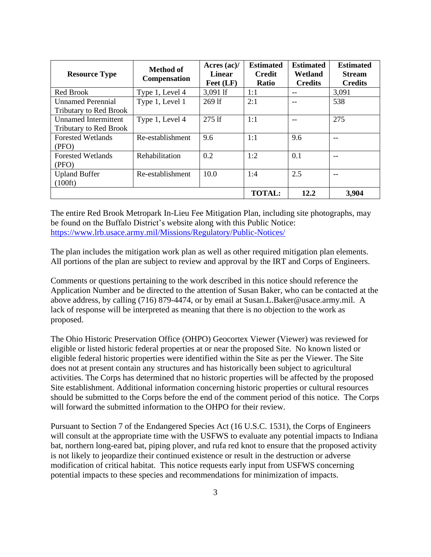| <b>Resource Type</b>                                         | <b>Method of</b><br><b>Compensation</b> | Acres $(ac)/$<br>Linear<br>$\text{Fect (LF)}$ | <b>Estimated</b><br><b>Credit</b><br><b>Ratio</b> | <b>Estimated</b><br>Wetland<br><b>Credits</b> | <b>Estimated</b><br><b>Stream</b><br><b>Credits</b> |
|--------------------------------------------------------------|-----------------------------------------|-----------------------------------------------|---------------------------------------------------|-----------------------------------------------|-----------------------------------------------------|
| Red Brook                                                    | Type 1, Level 4                         | 3,091 lf                                      | 1:1                                               | --                                            | 3,091                                               |
| <b>Unnamed Perennial</b><br><b>Tributary to Red Brook</b>    | Type 1, Level 1                         | 269 lf                                        | 2:1                                               |                                               | 538                                                 |
| <b>Unnamed Intermittent</b><br><b>Tributary to Red Brook</b> | Type 1, Level 4                         | $275$ lf                                      | 1:1                                               |                                               | 275                                                 |
| <b>Forested Wetlands</b><br>(PFO)                            | Re-establishment                        | 9.6                                           | 1:1                                               | 9.6                                           | --                                                  |
| <b>Forested Wetlands</b><br>(PFO)                            | Rehabilitation                          | 0.2                                           | 1:2                                               | 0.1                                           |                                                     |
| <b>Upland Buffer</b><br>$(100\text{ft})$                     | Re-establishment                        | 10.0                                          | 1:4                                               | 2.5                                           | --                                                  |
|                                                              |                                         |                                               | <b>TOTAL:</b>                                     | 12.2                                          | 3,904                                               |

The entire Red Brook Metropark In-Lieu Fee Mitigation Plan, including site photographs, may be found on the Buffalo District's website along with this Public Notice: <https://www.lrb.usace.army.mil/Missions/Regulatory/Public-Notices/>

The plan includes the mitigation work plan as well as other required mitigation plan elements. All portions of the plan are subject to review and approval by the IRT and Corps of Engineers.

Comments or questions pertaining to the work described in this notice should reference the Application Number and be directed to the attention of Susan Baker, who can be contacted at the above address, by calling (716) 879-4474, or by email at Susan.L.Baker@usace.army.mil. A lack of response will be interpreted as meaning that there is no objection to the work as proposed.

The Ohio Historic Preservation Office (OHPO) Geocortex Viewer (Viewer) was reviewed for eligible or listed historic federal properties at or near the proposed Site. No known listed or eligible federal historic properties were identified within the Site as per the Viewer. The Site does not at present contain any structures and has historically been subject to agricultural activities. The Corps has determined that no historic properties will be affected by the proposed Site establishment. Additional information concerning historic properties or cultural resources should be submitted to the Corps before the end of the comment period of this notice. The Corps will forward the submitted information to the OHPO for their review.

Pursuant to Section 7 of the Endangered Species Act (16 U.S.C. 1531), the Corps of Engineers will consult at the appropriate time with the USFWS to evaluate any potential impacts to Indiana bat, northern long-eared bat, piping plover, and rufa red knot to ensure that the proposed activity is not likely to jeopardize their continued existence or result in the destruction or adverse modification of critical habitat. This notice requests early input from USFWS concerning potential impacts to these species and recommendations for minimization of impacts.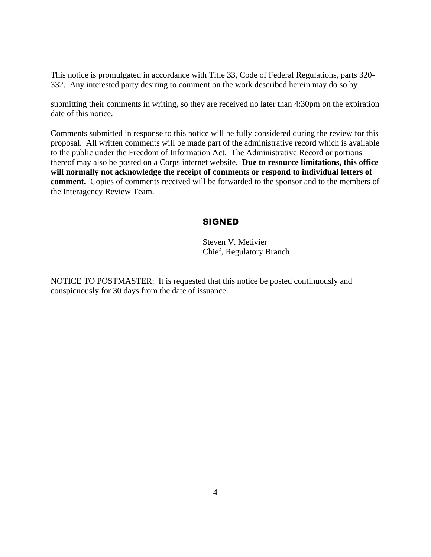This notice is promulgated in accordance with Title 33, Code of Federal Regulations, parts 320- 332. Any interested party desiring to comment on the work described herein may do so by

submitting their comments in writing, so they are received no later than 4:30pm on the expiration date of this notice.

Comments submitted in response to this notice will be fully considered during the review for this proposal. All written comments will be made part of the administrative record which is available to the public under the Freedom of Information Act. The Administrative Record or portions thereof may also be posted on a Corps internet website. **Due to resource limitations, this office will normally not acknowledge the receipt of comments or respond to individual letters of comment.** Copies of comments received will be forwarded to the sponsor and to the members of the Interagency Review Team.

## SIGNED

Steven V. Metivier Chief, Regulatory Branch

NOTICE TO POSTMASTER: It is requested that this notice be posted continuously and conspicuously for 30 days from the date of issuance.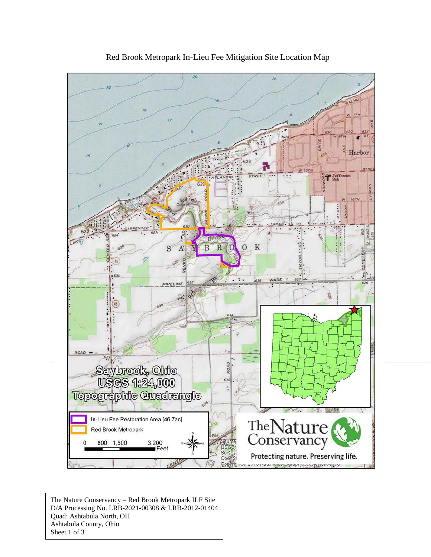

Red Brook Metropark In-Lieu Fee Mitigation Site Location Map

The Nature Conservancy – Red Brook Metropark ILF Site D/A Processing No. LRB-2021-00308 & LRB-2012-01404 Quad: Ashtabula North, OH Ashtabula County, Ohio Sheet 1 of 3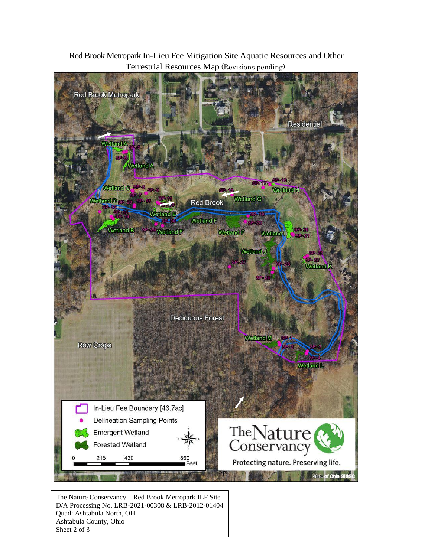

Red Brook Metropark In-Lieu Fee Mitigation Site Aquatic Resources and Other Terrestrial Resources Map (Revisions pending)

The Nature Conservancy – Red Brook Metropark ILF Site D/A Processing No. LRB-2021-00308 & LRB-2012-01404 Quad: Ashtabula North, OH Ashtabula County, Ohio Sheet 2 of 3